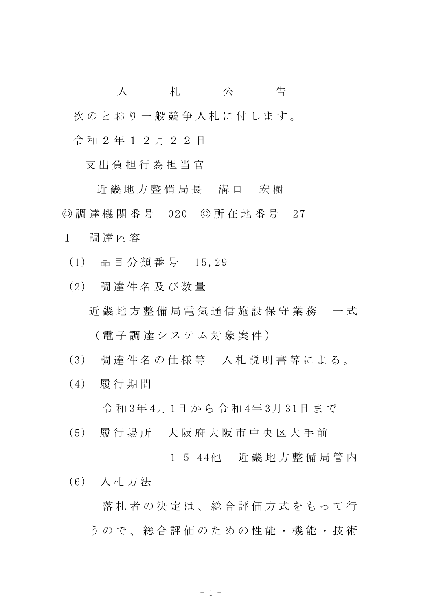入 札 公 告 次のとおり一般競争入札に付します。 令 和 2 年 1 2 月 2 2 日

支 出 負 担 行 為 担 当 官

近 畿 地 方 整 備 局 長 溝 口 宏 樹 ◎ 調 達 機 関 番 号 020 ◎ 所 在 地 番 号 27

- 1 調 達 内 容
	- (1) 品 目 分 類 番 号 15,29
	- (2) 調 達 件 名 及 び 数 量

近 畿 地 方 整 備 局 電 気 通 信 施 設 保 守 業 務 一 式

( 電 子 調 達 シ ス テ ム 対 象 案 件 )

- (3) 調 達 件 名 の 仕 様 等 入 札 説 明 書 等 に よ る 。
- (4) 履 行 期 間

令 和 3年 4月 1日 か ら 令 和 4年 3月 31日 ま で

(5) 履 行 場 所 大 阪 府 大 阪 市 中 央 区 大 手 前

1-5-44他 近 畿 地 方 整 備 局 管 内

(6) 入 札 方 法

落 札 者 の 決 定 は 、 総 合 評 価 方 式 を も っ て 行 う の で 、 総 合 評 価 の た め の 性 能 ・ 機 能 ・ 技 術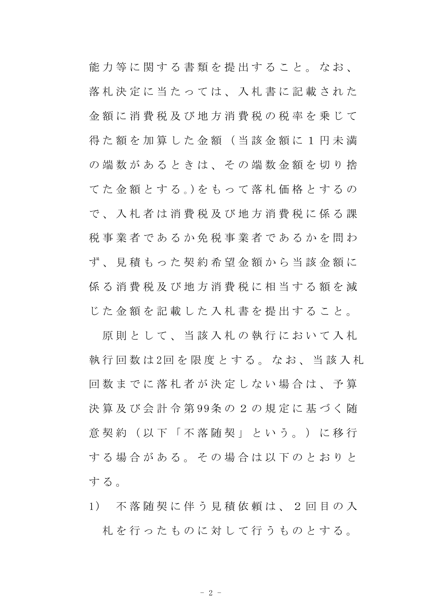能力等に関する書類を提出すること。なお、 落札決定に当たっては、入札書に記載された 金 額 に 消 費 税 及 び 地 方 消 費 税 の 税 率 を 乗 じ て 得 た 額 を 加 算 し た 金 額 ( 当 該 金 額 に 1 円 未 満 の 端 数 が あ る と き は 、 そ の 端 数 金 額 を 切 り 捨 て た 金 額 と す る 。)を も っ て 落 札 価 格 と す る の で 、 入 札 者 は 消 費 税 及 び 地 方 消 費 税 に 係 る 課 税 事 業 者 で あ る か 免 税 事 業 者 で あ る か を 問 わ ず、見積もった契約希望金額から当該金額に 係 る 消 費 税 及 び 地 方 消 費 税 に 相 当 す る 額 を 減 じ た 金 額 を 記 載 し た 入 札 書 を 提 出 す る こ と 。

原則として、当該入札の執行において入札 執 行 回 数 は 2回 を 限 度 と す る 。 な お 、 当 該 入 札 回 数 ま で に 落 札 者 が 決 定 し な い 場 合 は 、 予 算 決 算 及 び 会 計 令 第 99条 の 2 の 規 定 に 基 づ く 随 意 契 約 (以 下 「 不 落 随 契 」 と い う 。 ) に 移 行 する場合がある。その場合は以下のとおりと する。

1) 不 落 随 契 に 伴 う 見 積 依 頼 は 、 2 回 目 の 入 札 を 行 っ た も の に 対 し て 行 う も の と す る 。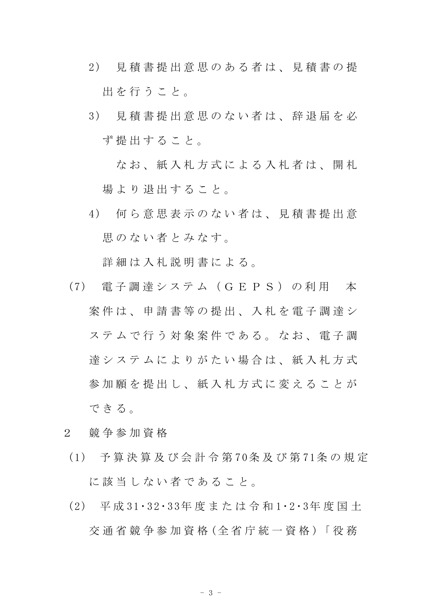- 2) 見 積 書 提 出 意 思 の あ る 者 は 、 見 積 書 の 提 出を行うこと。
- 3) 見 積 書 提 出 意 思 の な い 者 は 、 辞 退 届 を 必 ず 提 出 す る こ と 。

なお、紙入札方式による入札者は、開札 場 よ り 退 出 す る こ と 。

4) 何 ら 意 思 表 示 の な い 者 は 、 見 積 書 提 出 意 思のない者とみなす。

詳細は入札説明書による。

- (7) 電 子 調 達 シ ス テ ム ( G E P S ) の 利 用 本 案 件 は 、 申 請 書 等 の 提 出 、 入 札 を 電 子 調 達 シ ステムで行う対象案件である。なお、電子調 達システムによりがたい場合は、紙入札方式 参加 願 を 提 出 し 、 紙 入 札 方 式 に 変 え る こ と が できる。
- 2 競 争 参 加 資 格
- (1) 予 算 決 算 及 び 会 計 令 第 70条 及 び 第 71条 の 規 定 に 該 当 し な い 者 で あ る こ と 。
- (2) 平 成 31・32・33年 度 ま た は 令 和 1・2・3年 度 国 土 交 通 省 競 争 参 加 資 格 (全 省 庁 統 一 資 格 )「 役 務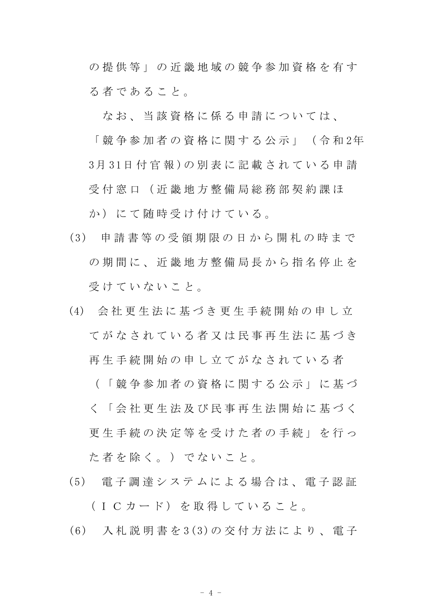の 提 供 等 」 の 近 畿 地 域 の 競 争 参 加 資 格 を 有 す る 者 で あ る こ と 。

なお、当該資格に係る申請については、

「 競 争 参 加 者 の 資 格 に 関 す る 公 示 」 ( 令 和 2年 3月 31日 付 官 報 )の 別 表 に 記 載 さ れ て い る 申 請 受 付 窓 口 ( 近 畿 地 方 整 備 局 総 務 部 契 約 課 ほ か)にて随時受け付けている。

- (3) 申 請 書 等 の 受 領 期 限 の 日 か ら 開 札 の 時 ま で の期間に、 近 畿 地 方 整 備 局 長 か ら 指 名 停 止 を 受けていないこと。
- (4) 会 社 更 生 法 に 基 づ き 更 生 手 続 開 始 の 申 し 立 てがなされている者又は民事再生法に基づき 再生手続開始の申し立てがなされている者 ( 「 競 争 参 加 者 の 資 格 に 関 す る 公 示 」 に 基 づ

く 「 会 社 更 生 法 及 び 民 事 再 生 法 開 始 に 基 づ く 更 生 手 続 の 決 定 等 を 受 け た 者 の 手 続 」 を 行 っ た 者 を 除 く 。 ) で な い こ と 。

- (5) 電 子 調 達 シ ス テ ム に よ る 場 合 は 、 電 子 認 証 (ICカード)を取得していること。
- (6) 入 札 説 明 書 を 3(3)の 交 付 方 法 に よ り 、 電 子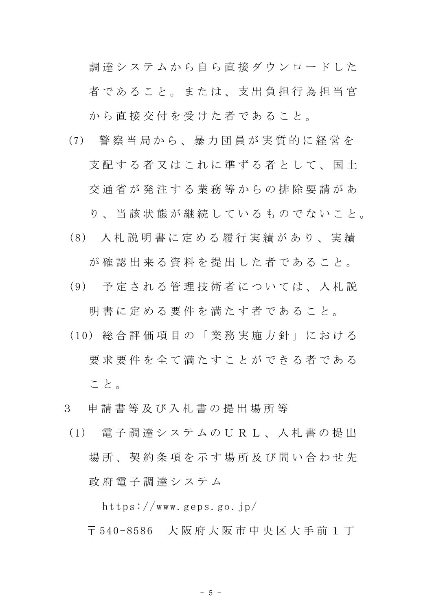調達システムから自ら直接ダウンロードした 者であること。または、支出負担行為担当官 から直接交付を受けた者であること。

- (7) 警 察 当 局 か ら 、 暴 力 団 員 が 実 質 的 に 経 営 を 支配する者又はこれに準ずる者として、国土 交 通 省 が 発 注 す る 業 務 等 か ら の 排 除 要 請 が あ り、 当 該 状 熊 が 継 続 し て い る も の で な い こ と 。
	-
- (8) 入 札 説 明 書 に 定 め る 履 行 実 績 が あ り 、 実 績 が確認出来る資料を提出した者であること。
- (9) 予 定 さ れ る 管 理 技 術 者 に つ い て は 、 入 札 説

明 書 に 定 め る 要 件 を 満 た す 者 で あ る こ と 。

- (10) 総 合 評 価 項 目 の 「 業 務 実 施 方 針 」 に お け る 要求要件を全て満たすことができる者である こ と 。
- 3 申 請 書 等 及 び 入 札 書 の 提 出 場 所 等
- (1) 電 子 調 達 シ ス テ ム の U R L 、 入 札 書 の 提 出 場所、契約条項を示す場所及び問い合わせ先 政 府 電 子 調 達 シ ス テ ム

https://www.geps.go.jp/

〒 540-8586 大 阪 府 大 阪 市 中 央 区 大 手 前 1 丁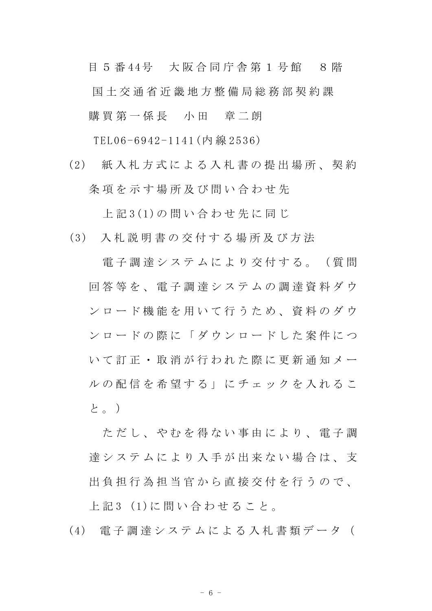目 5 番 44号 大阪合同庁舎第 1 号館 8 階 国 土 交 通 省 近 畿 地 方 整 備 局 総 務 部 契 約 課 購買 第 一 係 長 一 小 田 章 二 朗

TEL06-6942-1141(内 線 2536)

(2) 紙 入 札 方 式 に よ る 入 札 書 の 提 出 場 所 、 契 約 条 項 を 示 す 場 所 及 び 問 い 合 わ せ 先

上 記 3(1)の 問 い 合 わ せ 先 に 同 じ

(3) 入 札 説 明 書 の 交 付 す る 場 所 及 び 方 法

電子調達システムにより交付する。(質問 回 答 等 を 、 電 子 調 達 シ ス テ ム の 調 達 資 料 ダ ウ ン ロ ー ド 機 能 を 用 い て 行 う た め 、 資 料 の ダ ウ ン ロ ー ド の 際 に 「 ダ ウ ン ロ ー ド し た 案 件 に つ い て 訂 正 ・ 取 消 が 行 わ れ た 際 に 更 新 通 知 メ ー ル の 配 信 を 希 望 す る 」 に チ ェ ッ ク を 入 れ る こ と。)

ただし、やかを得ない事由により、雷子調 達システムにより入手が出来ない場合は、支 出 負 担 行 為 担 当 官 か ら 直 接 交 付 を 行 う の で 、

上 記 3 (1)に 問 い 合 わ せ る こ と 。

(4) 電 子 調 達 シ ス テ ム に よ る 入 札 書 類 デ ー タ (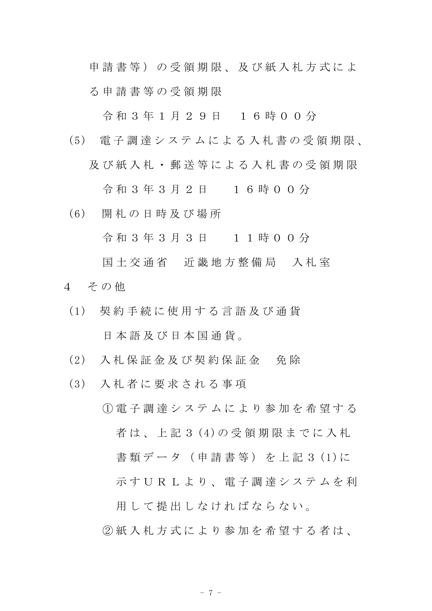申請書等)の受領期限、及び紙入札方式によ る 申 請 書 等 の 受 領 期 限

令 和 3 年 1 月 2 9 日 1 6 時 0 0 分

(5) 電 子 調 達 シ ス テ ム に よ る 入 札 書 の 受 領 期 限 、 及び紙入札・郵送等による入札書の受領期限

令 和 3 年 3 月 2 日 1 6 時 0 0 分

(6) 開 札 の 日 時 及 び 場 所

令 和 3 年 3 月 3 日 1 1 時 0 0 分

国土交通省 近畿地方整備局 入札室

- 4 その他
	- (1) 契 約 手 続 に 使 用 す る 言 語 及 び 通 貨 日 本 語 及 び 日 本 国 通 貨 。
	- (2) 入 札 保 証 金 及 び 契 約 保 証 金 免 除
	- (3) 入 札 者 に 要 求 さ れ る 事 項
		- ① 電 子 調 達 シ ス テ ム に よ り 参 加 を 希 望 す る 者 は 、 上 記 3 (4)の 受 領 期 限 ま で に 入 札 書類データ (申請書等) を上記3(1)に 示す U R L より、 電子調達システムを利 用して提出しなければならない。

② 紙 入 札 方 式 に よ り 参 加 を 希 望 す る 者 は、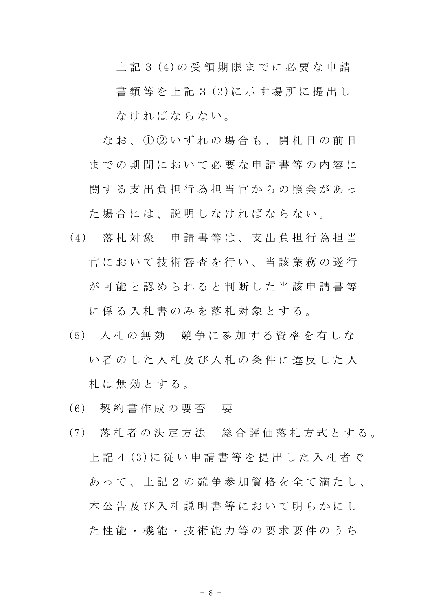上 記 3 (4)の 受 領 期 限 ま で に 必 要 な 申 請 書 類 等 を 上 記 3 (2)に 示 す 場 所 に 提 出 し な け れ ば な ら な い 。

なお、1020いずれの場合も、開札日の前日 までの期間において必要な申請書等の内容に

関する支出負担行為担当官からの照会があっ た場合には、説明しなければならない。

- (4) 落 札 対 象 申 請 書 等 は 、 支 出 負 担 行 為 担 当 官において技術審査を行い、当該業務の遂行 が 可 能 と 認 め ら れ る と 判 断 し た 当 該 申 請 書 等 に 係 る 入 札 書 の み を 落 札 対 象 と す る 。
- (5) 入 札 の 無 効 競 争 に 参 加 す る 資 格 を 有 し な い者のした入札及び入札の条件に違反した入 札 は 無 効 と す る 。
- (6) 契 約 書 作 成 の 要 否 要
- (7) 落 札 者 の 決 定 方 法 総 合 評 価 落 札 方 式 と す る 。 上 記 4 (3)に 従 い 申 請 書 等 を 提 出 し た 入 札 者 で あって、上記 2 の 競 争 参 加 資 格 を 全 て 満 た し 、 本公告及び入札説明書等において明らかにし た 性 能 ・ 機 能 ・ 技 術 能 力 等 の 要 求 要 件 の う ち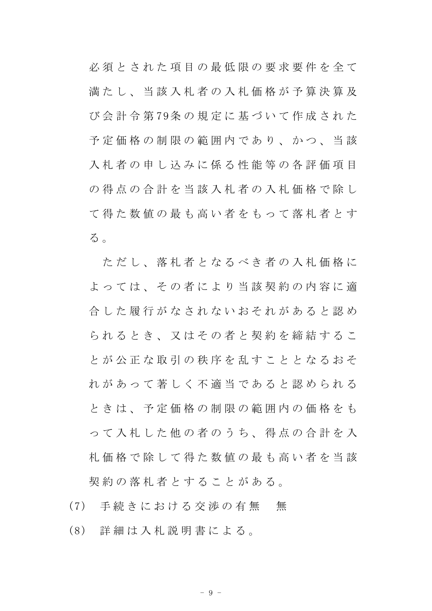必須とされた項目の最低限の要求要件を全て 満たし、当該入札者の入札価格が予算決算及 び 会 計 令 第 79条 の 規 定 に 基 づ い て 作 成 さ れ た 予 定 価 格 の 制 限 の 範 囲 内 で あ り 、 か つ 、 当 該 入札者の申し込みに係る性能等の各評価項目 の 得 点 の 合 計 を 当 該 入 札 者 の 入 札 価 格 で 除 し て得た数値の最も高い者をもって落札者とす る 。

ただし、落札者となるべき者の入札価格に よっては、その者により当該契約の内容に適 合 し た 履 行 が な さ れ な い お そ れ が あ る と 認 め られるとき、又はその者と契約を締結するこ と が 公 正 な 取 引 の 秩 序 を 乱 す こ と と な る お そ れ が あ っ て 著 し く 不 適 当 で あ る と 認 め ら れ る と き は 、 予 定 価 格 の 制 限 の 範 囲 内 の 価 格 を も っ て 入 札 し た 他 の 者 の う ち 、 得 点 の 合 計 を 入 札 価 格 で 除 し て 得 た 数 値 の 最 も 高 い 者 を 当 該 契約の落札者とすることがある。

- (7) 手続きにおける交渉の有無 無
- (8) 詳 細 は 入 札 説 明 書 に よ る 。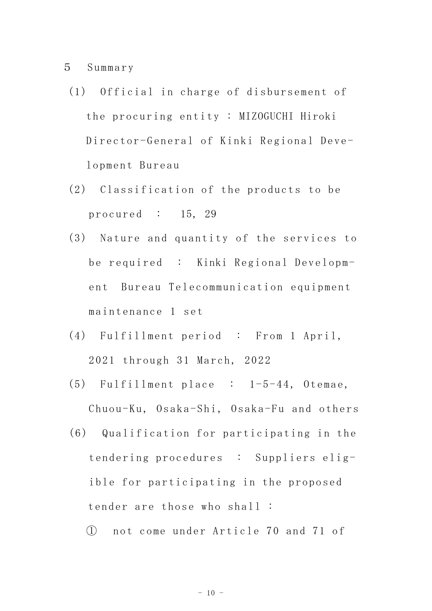5 Summary

- (1) Official in charge of disbursement of the procuring entity : MIZOGUCHI Hiroki Director-General of Kinki Regional Development Bureau
- (2) Classification of the products to be procured : 15, 29
- (3) Nature and quantity of the services to be required : Kinki Regional Development Bureau Telecommunication equipment maintenance 1 set
- (4) Fulfillment period : From 1 April, 2021 through 31 March, 2022
- (5) Fulfillment place : 1-5-44, Otemae, Chuou-Ku, Osaka-Shi, Osaka-Fu and others
- (6) Qualification for participating in the tendering procedures : Suppliers eligible for participating in the proposed tender are those who shall :
	- ① not come under Article 70 and 71 of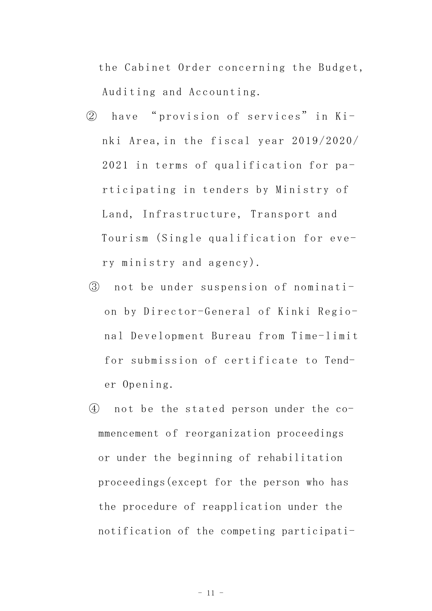the Cabinet Order concerning the Budget, Auditing and Accounting.

- ② have " provision of services" in Kinki Area,in the fiscal year 2019/2020/ 2021 in terms of qualification for participating in tenders by Ministry of Land, Infrastructure, Transport and Tourism (Single qualification for every ministry and agency).
- ③ not be under suspension of nomination by Director-General of Kinki Regional Development Bureau from Time-limit for submission of certificate to Tender Opening.
- ④ not be the stated person under the commencement of reorganization proceedings or under the beginning of rehabilitation proceedings(except for the person who has the procedure of reapplication under the notification of the competing participati-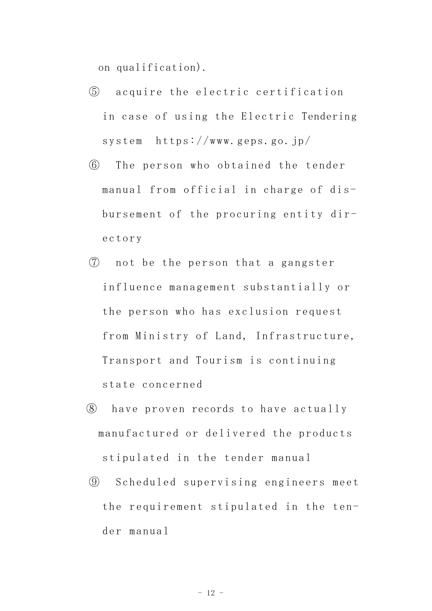on qualification).

- ⑤ acquire the electric certification in case of using the Electric Tendering system https://www.geps.go.jp/
- ⑥ The person who obtained the tender manual from official in charge of disbursement of the procuring entity directory
- ⑦ not be the person that a gangster influence management substantially or the person who has exclusion request from Ministry of Land, Infrastructure, Transport and Tourism is continuing state concerned
- ⑧ have proven records to have actually manufactured or delivered the products stipulated in the tender manual
- ⑨ Scheduled supervising engineers meet the requirement stipulated in the tender manual